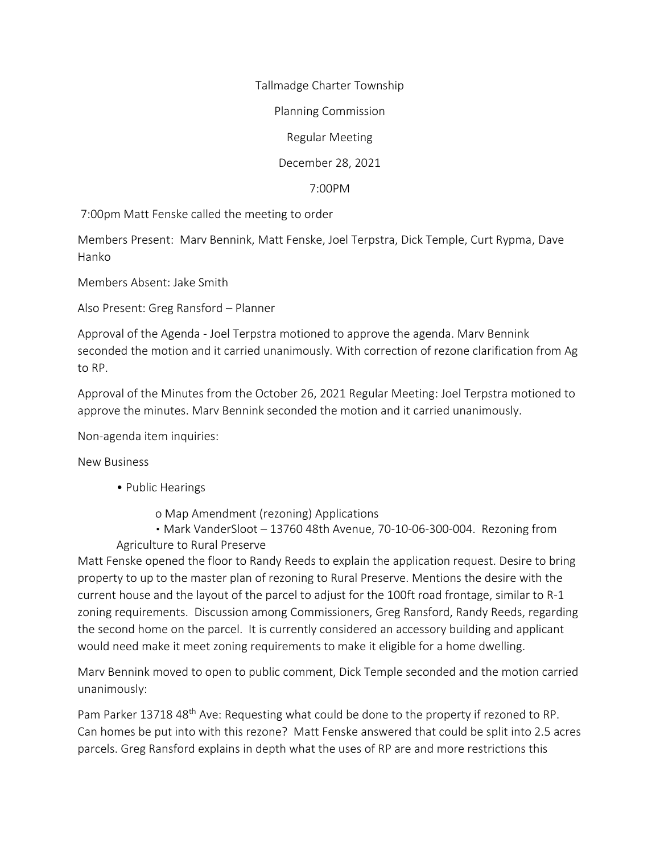Tallmadge Charter Township

Planning Commission

Regular Meeting

December 28, 2021

7:00PM

7:00pm Matt Fenske called the meeting to order

Members Present: Marv Bennink, Matt Fenske, Joel Terpstra, Dick Temple, Curt Rypma, Dave Hanko

Members Absent: Jake Smith

Also Present: Greg Ransford – Planner

Approval of the Agenda - Joel Terpstra motioned to approve the agenda. Marv Bennink seconded the motion and it carried unanimously. With correction of rezone clarification from Ag to RP.

Approval of the Minutes from the October 26, 2021 Regular Meeting: Joel Terpstra motioned to approve the minutes. Marv Bennink seconded the motion and it carried unanimously.

Non-agenda item inquiries:

New Business

- Public Hearings
	- o Map Amendment (rezoning) Applications

• Mark VanderSloot - 13760 48th Avenue, 70-10-06-300-004. Rezoning from Agriculture to Rural Preserve

Matt Fenske opened the floor to Randy Reeds to explain the application request. Desire to bring property to up to the master plan of rezoning to Rural Preserve. Mentions the desire with the current house and the layout of the parcel to adjust for the 100ft road frontage, similar to R-1 zoning requirements. Discussion among Commissioners, Greg Ransford, Randy Reeds, regarding the second home on the parcel. It is currently considered an accessory building and applicant would need make it meet zoning requirements to make it eligible for a home dwelling.

Marv Bennink moved to open to public comment, Dick Temple seconded and the motion carried unanimously:

Pam Parker 13718 48<sup>th</sup> Ave: Requesting what could be done to the property if rezoned to RP. Can homes be put into with this rezone? Matt Fenske answered that could be split into 2.5 acres parcels. Greg Ransford explains in depth what the uses of RP are and more restrictions this